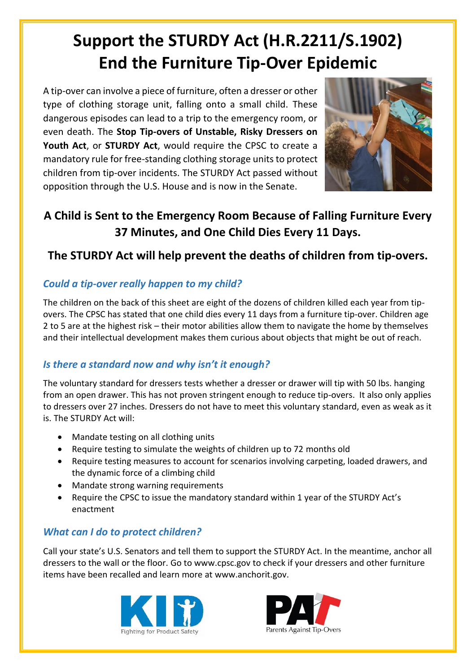## **Support the STURDY Act (H.R.2211/S.1902) End the Furniture Tip-Over Epidemic**

A tip-over can involve a piece of furniture, often a dresser or other type of clothing storage unit, falling onto a small child. These dangerous episodes can lead to a trip to the emergency room, or even death. The **Stop Tip-overs of Unstable, Risky Dressers on Youth Act**, or **STURDY Act**, would require the CPSC to create a mandatory rule for free-standing clothing storage units to protect children from tip-over incidents. The STURDY Act passed without opposition through the U.S. House and is now in the Senate.



### **A Child is Sent to the Emergency Room Because of Falling Furniture Every 37 Minutes, and One Child Dies Every 11 Days.**

### **The STURDY Act will help prevent the deaths of children from tip-overs.**

#### *Could a tip-over really happen to my child?*

The children on the back of this sheet are eight of the dozens of children killed each year from tipovers. The CPSC has stated that one child dies every 11 days from a furniture tip-over. Children age 2 to 5 are at the highest risk – their motor abilities allow them to navigate the home by themselves and their intellectual development makes them curious about objects that might be out of reach.

#### *Is there a standard now and why isn't it enough?*

The voluntary standard for dressers tests whether a dresser or drawer will tip with 50 lbs. hanging from an open drawer. This has not proven stringent enough to reduce tip-overs. It also only applies to dressers over 27 inches. Dressers do not have to meet this voluntary standard, even as weak as it is. The STURDY Act will:

- Mandate testing on all clothing units
- Require testing to simulate the weights of children up to 72 months old
- Require testing measures to account for scenarios involving carpeting, loaded drawers, and the dynamic force of a climbing child
- Mandate strong warning requirements
- Require the CPSC to issue the mandatory standard within 1 year of the STURDY Act's enactment

#### *What can I do to protect children?*

Call your state's U.S. Senators and tell them to support the STURDY Act. In the meantime, anchor all dressers to the wall or the floor. Go to www.cpsc.gov to check if your dressers and other furniture items have been recalled and learn more at www.anchorit.gov.